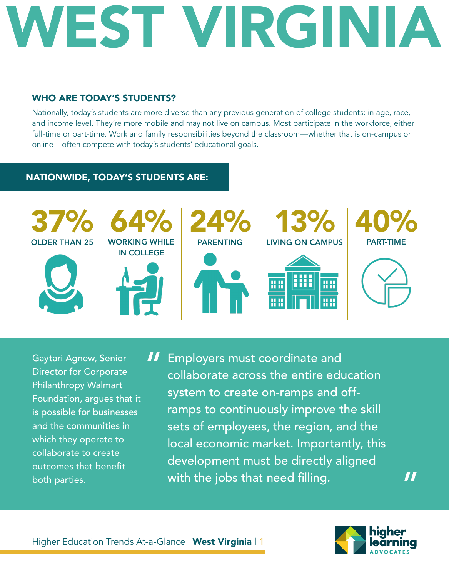#### WHO ARE TODAY'S STUDENTS?

Nationally, today's students are more diverse than any previous generation of college students: in age, race, and income level. They're more mobile and may not live on campus. Most participate in the workforce, either full-time or part-time. Work and family responsibilities beyond the classroom—whether that is on-campus or online—often compete with today's students' educational goals.

#### NATIONWIDE, TODAY'S STUDENTS ARE:



Gaytari Agnew, Senior Director for Corporate Philanthropy Walmart Foundation, argues that it is possible for businesses and the communities in which they operate to collaborate to create outcomes that benefit both parties.

**II** Employers must coordinate and<br>collaborate across the entire edu collaborate across the entire education system to create on-ramps and offramps to continuously improve the skill sets of employees, the region, and the local economic market. Importantly, this development must be directly aligned with the jobs that need filling.

"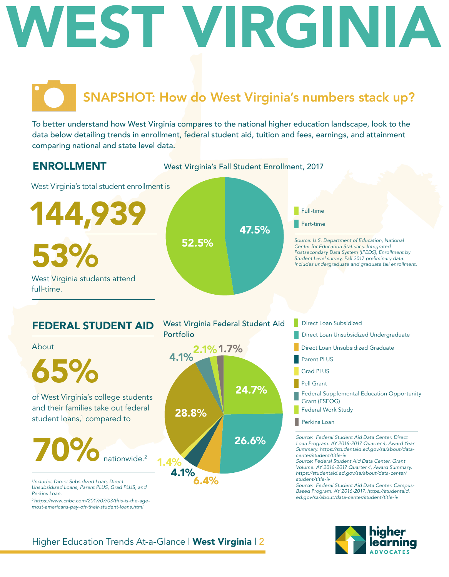### SNAPSHOT: How do West Virginia's numbers stack up?

To better understand how West Virginia compares to the national higher education landscape, look to the data below detailing trends in enrollment, federal student aid, tuition and fees, earnings, and attainment comparing national and state level data.

ENROLLMENT

West Virginia's Fall Student Enrollment, 2017

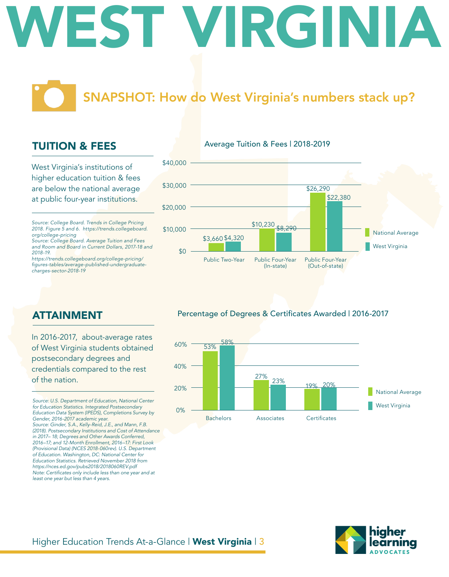### SNAPSHOT: How do West Virginia's numbers stack up?

Average Tuition & Fees | 2018-2019

#### TUITION & FEES

West Virginia's institutions of higher education tuition & fees are below the national average at public four-year institutions.

*Source: College Board. Trends in College Pricing 2018. Figure 5 and 6. https://trends.collegeboard. org/college-pricing*

*Source: College Board. Average Tuition and Fees and Room and Board in Current Dollars, 2017-18 and 2018-19.*

*https://trends.collegeboard.org/college-pricing/* figures-tables/average-published-undergraduate*charges-sector-2018-19*



#### Percentage of Degrees & Certificates Awarded | 2016-2017



#### ATTAINMENT

In 2016-2017, about-average rates of West Virginia students obtained postsecondary degrees and credentials compared to the rest of the nation.

*Source: U.S. Department of Education, National Center for Education Statistics. Integrated Postsecondary Education Data System (IPEDS), Completions Survey by Gender, 2016-2017 academic year. Source: Ginder, S.A., Kelly-Reid, J.E., and Mann, F.B. (2018). Postsecondary Institutions and Cost of Attendance in 2017– 18; Degrees and Other Awards Conferred, 2016–17; and 12-Month Enrollment, 2016–17: First Look (Provisional Data) (NCES 2018-060rev). U.S. Department of Education. Washington, DC: National Center for Education Statistics. Retrieved November 2018 from https://nces.ed.gov/pubs2018/2018060REV.pdf* Note: Certificates only include less than one year and at

*least one year but less than 4 years.* 

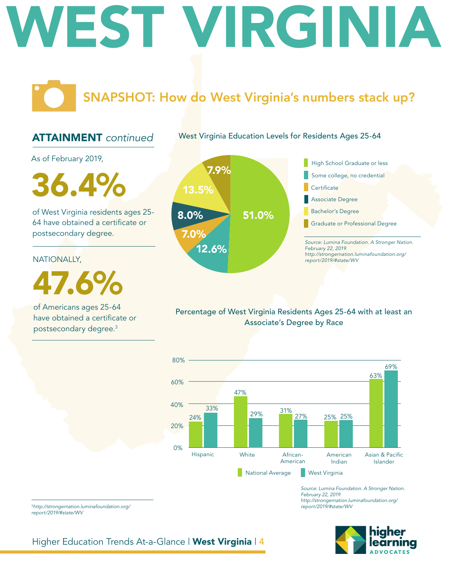### SNAPSHOT: How do West Virginia's numbers stack up?

#### ATTAINMENT *continued*

West Virginia Education Levels for Residents Ages 25-64

As of February 2019,

 $36.4\%$  13.5%

of West Virginia residents ages 25- 64 have obtained a certificate or postsecondary degree.

#### NATIONALLY,

47.6%

of Americans ages 25-64 have obtained a certificate or postsecondary degree.3



Percentage of West Virginia Residents Ages 25-64 with at least an Associate's Degree by Race



*Source: Lumina Foundation. A Stronger Nation. February 22, 2019. http://strongernation.luminafoundation.org/ report/2019/#state/WV*

#### <sup>3</sup>*http://strongernation.luminafoundation.org/ report/2019/#state/WV*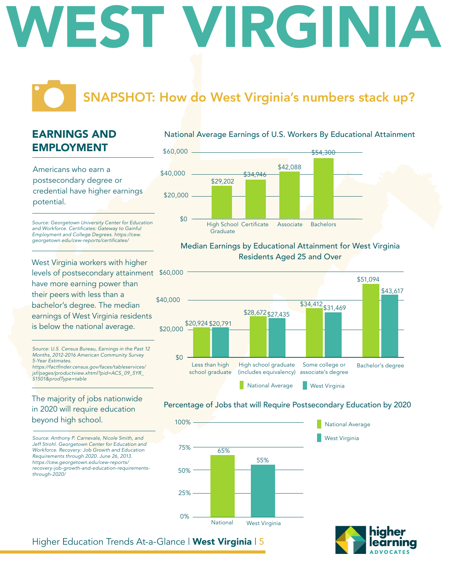### SNAPSHOT: How do West Virginia's numbers stack up?

### EARNINGS AND EMPLOYMENT

Americans who earn a postsecondary degree or credential have higher earnings potential.

*Source: Georgetown University Center for Education*  and Workforce. Certificates: Gateway to Gainful *Employment and College Degrees. https://cew.* georgetown.edu/cew-reports/certificates/

West Virginia workers with higher levels of postsecondary attainment \$60,000 have more earning power than their peers with less than a bachelor's degree. The median earnings of West Virginia residents is below the national average.

*Source: U.S. Census Bureau, Earnings in the Past 12 Months, 2012-2016 American Community Survey 5-Year Estimates.*

https://factfinder.census.gov/faces/tableservices/ *jsf/pages/productview.xhtml?pid=ACS\_09\_5YR\_ S1501&prodType=table*

#### The majority of jobs nationwide in 2020 will require education beyond high school.

*Source: Anthony P. Carnevale, Nicole Smith, and Jeff Strohl. Georgetown Center for Education and Workforce. Recovery: Job Growth and Education Requirements through 2020. June 26, 2013. https://cew.georgetown.edu/cew-reports/ recovery-job-growth-and-education-requirementsthrough-2020/*





#### Median Earnings by Educational Attainment for West Virginia Residents Aged 25 and Over



#### Percentage of Jobs that will Require Postsecondary Education by 2020